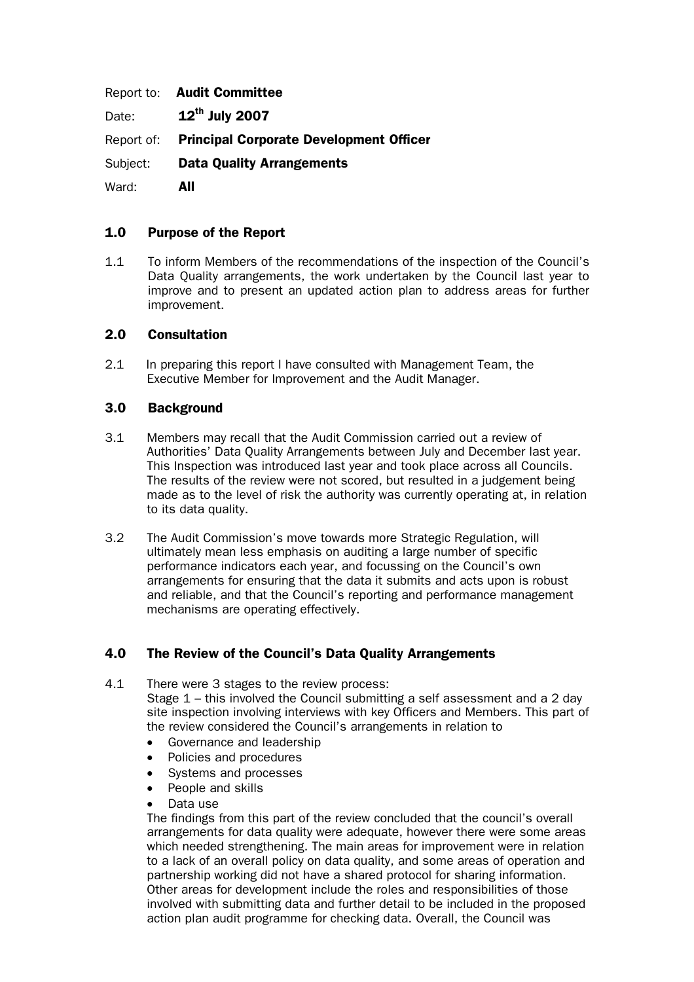Report to: Audit Committee Date:  $12^{th}$  July 2007 Report of: Principal Corporate Development Officer Subject: Data Quality Arrangements Ward: **All** 

# 1.0 Purpose of the Report

1.1 To inform Members of the recommendations of the inspection of the Council's Data Quality arrangements, the work undertaken by the Council last year to improve and to present an updated action plan to address areas for further improvement.

### 2.0 Consultation

2.1 In preparing this report I have consulted with Management Team, the Executive Member for Improvement and the Audit Manager.

### 3.0 Background

- 3.1 Members may recall that the Audit Commission carried out a review of Authorities' Data Quality Arrangements between July and December last year. This Inspection was introduced last year and took place across all Councils. The results of the review were not scored, but resulted in a judgement being made as to the level of risk the authority was currently operating at, in relation to its data quality.
- 3.2 The Audit Commission's move towards more Strategic Regulation, will ultimately mean less emphasis on auditing a large number of specific performance indicators each year, and focussing on the Council's own arrangements for ensuring that the data it submits and acts upon is robust and reliable, and that the Council's reporting and performance management mechanisms are operating effectively.

### 4.0 The Review of the Council's Data Quality Arrangements

4.1 There were 3 stages to the review process:

 Stage 1 – this involved the Council submitting a self assessment and a 2 day site inspection involving interviews with key Officers and Members. This part of the review considered the Council's arrangements in relation to

- Governance and leadership
- Policies and procedures
- Systems and processes
- People and skills
- Data use

The findings from this part of the review concluded that the council's overall arrangements for data quality were adequate, however there were some areas which needed strengthening. The main areas for improvement were in relation to a lack of an overall policy on data quality, and some areas of operation and partnership working did not have a shared protocol for sharing information. Other areas for development include the roles and responsibilities of those involved with submitting data and further detail to be included in the proposed action plan audit programme for checking data. Overall, the Council was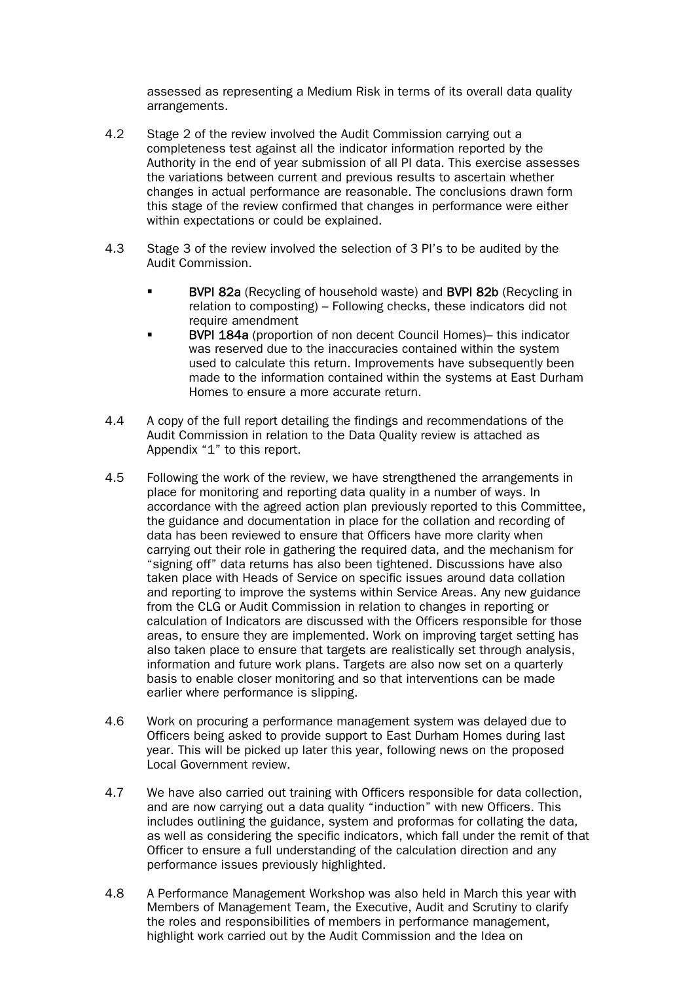assessed as representing a Medium Risk in terms of its overall data quality arrangements.

- 4.2 Stage 2 of the review involved the Audit Commission carrying out a completeness test against all the indicator information reported by the Authority in the end of year submission of all PI data. This exercise assesses the variations between current and previous results to ascertain whether changes in actual performance are reasonable. The conclusions drawn form this stage of the review confirmed that changes in performance were either within expectations or could be explained.
- 4.3 Stage 3 of the review involved the selection of 3 PI's to be audited by the Audit Commission.
	- BVPI 82a (Recycling of household waste) and BVPI 82b (Recycling in relation to composting) – Following checks, these indicators did not require amendment
	- BVPI 184a (proportion of non decent Council Homes)– this indicator was reserved due to the inaccuracies contained within the system used to calculate this return. Improvements have subsequently been made to the information contained within the systems at East Durham Homes to ensure a more accurate return.
- 4.4 A copy of the full report detailing the findings and recommendations of the Audit Commission in relation to the Data Quality review is attached as Appendix "1" to this report.
- 4.5 Following the work of the review, we have strengthened the arrangements in place for monitoring and reporting data quality in a number of ways. In accordance with the agreed action plan previously reported to this Committee, the guidance and documentation in place for the collation and recording of data has been reviewed to ensure that Officers have more clarity when carrying out their role in gathering the required data, and the mechanism for "signing off" data returns has also been tightened. Discussions have also taken place with Heads of Service on specific issues around data collation and reporting to improve the systems within Service Areas. Any new guidance from the CLG or Audit Commission in relation to changes in reporting or calculation of Indicators are discussed with the Officers responsible for those areas, to ensure they are implemented. Work on improving target setting has also taken place to ensure that targets are realistically set through analysis, information and future work plans. Targets are also now set on a quarterly basis to enable closer monitoring and so that interventions can be made earlier where performance is slipping.
- 4.6 Work on procuring a performance management system was delayed due to Officers being asked to provide support to East Durham Homes during last year. This will be picked up later this year, following news on the proposed Local Government review.
- 4.7 We have also carried out training with Officers responsible for data collection, and are now carrying out a data quality "induction" with new Officers. This includes outlining the guidance, system and proformas for collating the data, as well as considering the specific indicators, which fall under the remit of that Officer to ensure a full understanding of the calculation direction and any performance issues previously highlighted.
- 4.8 A Performance Management Workshop was also held in March this year with Members of Management Team, the Executive, Audit and Scrutiny to clarify the roles and responsibilities of members in performance management, highlight work carried out by the Audit Commission and the Idea on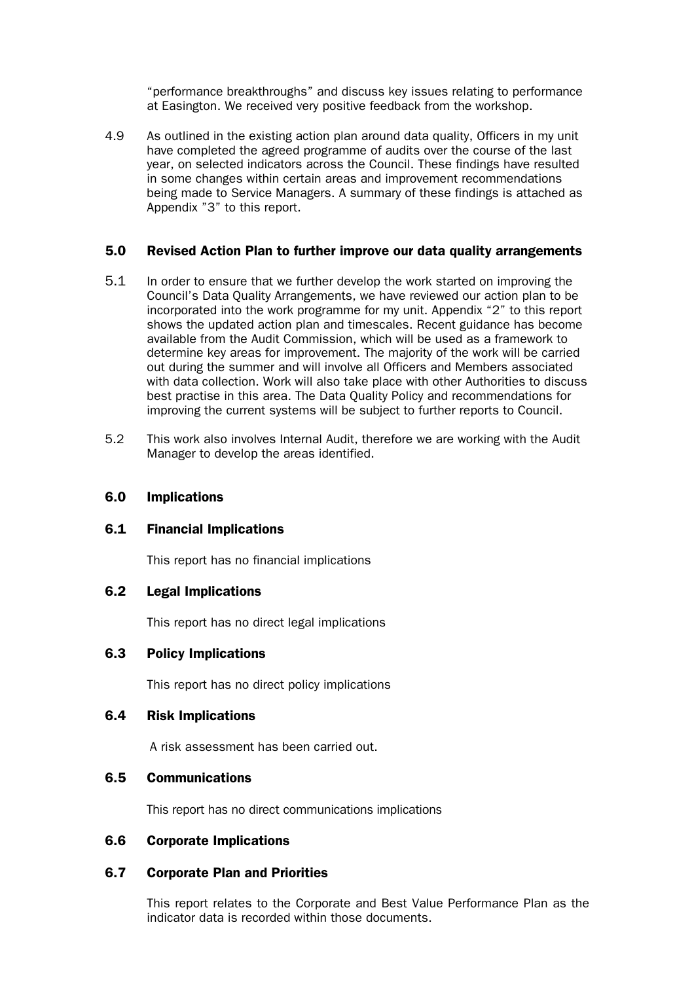"performance breakthroughs" and discuss key issues relating to performance at Easington. We received very positive feedback from the workshop.

4.9 As outlined in the existing action plan around data quality, Officers in my unit have completed the agreed programme of audits over the course of the last year, on selected indicators across the Council. These findings have resulted in some changes within certain areas and improvement recommendations being made to Service Managers. A summary of these findings is attached as Appendix "3" to this report.

#### 5.0 Revised Action Plan to further improve our data quality arrangements

- 5.1 In order to ensure that we further develop the work started on improving the Council's Data Quality Arrangements, we have reviewed our action plan to be incorporated into the work programme for my unit. Appendix "2" to this report shows the updated action plan and timescales. Recent guidance has become available from the Audit Commission, which will be used as a framework to determine key areas for improvement. The majority of the work will be carried out during the summer and will involve all Officers and Members associated with data collection. Work will also take place with other Authorities to discuss best practise in this area. The Data Quality Policy and recommendations for improving the current systems will be subject to further reports to Council.
- 5.2 This work also involves Internal Audit, therefore we are working with the Audit Manager to develop the areas identified.

### 6.0 Implications

#### 6.1 Financial Implications

This report has no financial implications

#### 6.2 Legal Implications

This report has no direct legal implications

#### 6.3 Policy Implications

This report has no direct policy implications

#### 6.4 Risk Implications

A risk assessment has been carried out.

#### 6.5 Communications

This report has no direct communications implications

### 6.6 Corporate Implications

### 6.7 Corporate Plan and Priorities

This report relates to the Corporate and Best Value Performance Plan as the indicator data is recorded within those documents.